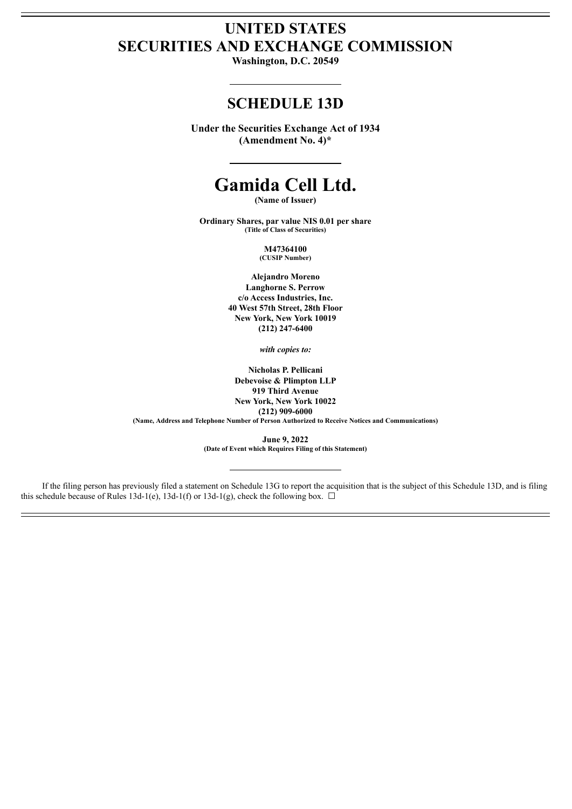## **UNITED STATES SECURITIES AND EXCHANGE COMMISSION**

**Washington, D.C. 20549**

### **SCHEDULE 13D**

**Under the Securities Exchange Act of 1934 (Amendment No. 4)\***

# **Gamida Cell Ltd.**

**(Name of Issuer)**

**Ordinary Shares, par value NIS 0.01 per share (Title of Class of Securities)**

> **M47364100 (CUSIP Number)**

**Alejandro Moreno Langhorne S. Perrow c/o Access Industries, Inc. 40 West 57th Street, 28th Floor New York, New York 10019 (212) 247-6400**

*with copies to:*

**Nicholas P. Pellicani Debevoise & Plimpton LLP 919 Third Avenue New York, New York 10022 (212) 909-6000 (Name, Address and Telephone Number of Person Authorized to Receive Notices and Communications)**

> **June 9, 2022 (Date of Event which Requires Filing of this Statement)**

If the filing person has previously filed a statement on Schedule 13G to report the acquisition that is the subject of this Schedule 13D, and is filing this schedule because of Rules 13d-1(e), 13d-1(f) or 13d-1(g), check the following box.  $\Box$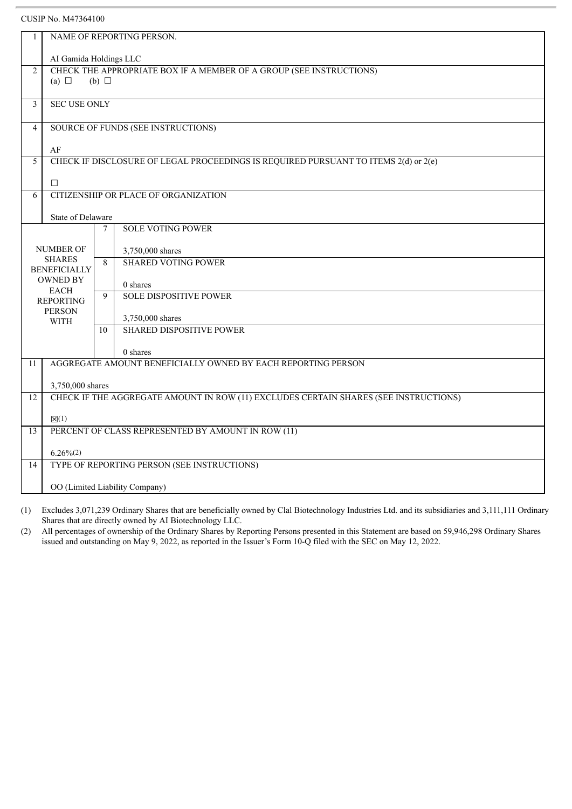| 1               | NAME OF REPORTING PERSON.                                                            |                |                                                                                     |  |  |  |
|-----------------|--------------------------------------------------------------------------------------|----------------|-------------------------------------------------------------------------------------|--|--|--|
|                 | AI Gamida Holdings LLC                                                               |                |                                                                                     |  |  |  |
| $\overline{2}$  | CHECK THE APPROPRIATE BOX IF A MEMBER OF A GROUP (SEE INSTRUCTIONS)                  |                |                                                                                     |  |  |  |
|                 | (a) $\Box$<br>$(b)$ $\square$                                                        |                |                                                                                     |  |  |  |
| 3               | <b>SEC USE ONLY</b>                                                                  |                |                                                                                     |  |  |  |
|                 |                                                                                      |                |                                                                                     |  |  |  |
| $\overline{4}$  |                                                                                      |                | SOURCE OF FUNDS (SEE INSTRUCTIONS)                                                  |  |  |  |
|                 | AF                                                                                   |                |                                                                                     |  |  |  |
| 5               |                                                                                      |                | CHECK IF DISCLOSURE OF LEGAL PROCEEDINGS IS REQUIRED PURSUANT TO ITEMS 2(d) or 2(e) |  |  |  |
|                 |                                                                                      |                |                                                                                     |  |  |  |
|                 | $\Box$                                                                               |                |                                                                                     |  |  |  |
| 6               |                                                                                      |                | CITIZENSHIP OR PLACE OF ORGANIZATION                                                |  |  |  |
|                 | State of Delaware                                                                    |                |                                                                                     |  |  |  |
|                 |                                                                                      | $\overline{7}$ | <b>SOLE VOTING POWER</b>                                                            |  |  |  |
|                 |                                                                                      |                |                                                                                     |  |  |  |
|                 | <b>NUMBER OF</b><br><b>SHARES</b>                                                    | 8              | 3,750,000 shares                                                                    |  |  |  |
|                 | <b>BENEFICIALLY</b><br><b>OWNED BY</b><br><b>EACH</b><br><b>REPORTING</b>            |                | <b>SHARED VOTING POWER</b>                                                          |  |  |  |
|                 |                                                                                      |                | 0 shares                                                                            |  |  |  |
|                 |                                                                                      |                | <b>SOLE DISPOSITIVE POWER</b>                                                       |  |  |  |
|                 | <b>PERSON</b>                                                                        |                |                                                                                     |  |  |  |
|                 | <b>WITH</b>                                                                          |                | 3,750,000 shares                                                                    |  |  |  |
|                 |                                                                                      | 10             | <b>SHARED DISPOSITIVE POWER</b>                                                     |  |  |  |
|                 |                                                                                      |                | 0 shares                                                                            |  |  |  |
| 11              |                                                                                      |                | AGGREGATE AMOUNT BENEFICIALLY OWNED BY EACH REPORTING PERSON                        |  |  |  |
|                 | 3,750,000 shares                                                                     |                |                                                                                     |  |  |  |
| 12              | CHECK IF THE AGGREGATE AMOUNT IN ROW (11) EXCLUDES CERTAIN SHARES (SEE INSTRUCTIONS) |                |                                                                                     |  |  |  |
|                 |                                                                                      |                |                                                                                     |  |  |  |
|                 | $\mathbb{Z}(1)$                                                                      |                |                                                                                     |  |  |  |
| $\overline{13}$ | PERCENT OF CLASS REPRESENTED BY AMOUNT IN ROW (11)                                   |                |                                                                                     |  |  |  |
|                 | $6.26\%$ <sup>(2)</sup>                                                              |                |                                                                                     |  |  |  |
| 14              |                                                                                      |                | TYPE OF REPORTING PERSON (SEE INSTRUCTIONS)                                         |  |  |  |
|                 | OO (Limited Liability Company)                                                       |                |                                                                                     |  |  |  |

(1) Excludes 3,071,239 Ordinary Shares that are beneficially owned by Clal Biotechnology Industries Ltd. and its subsidiaries and 3,111,111 Ordinary Shares that are directly owned by AI Biotechnology LLC.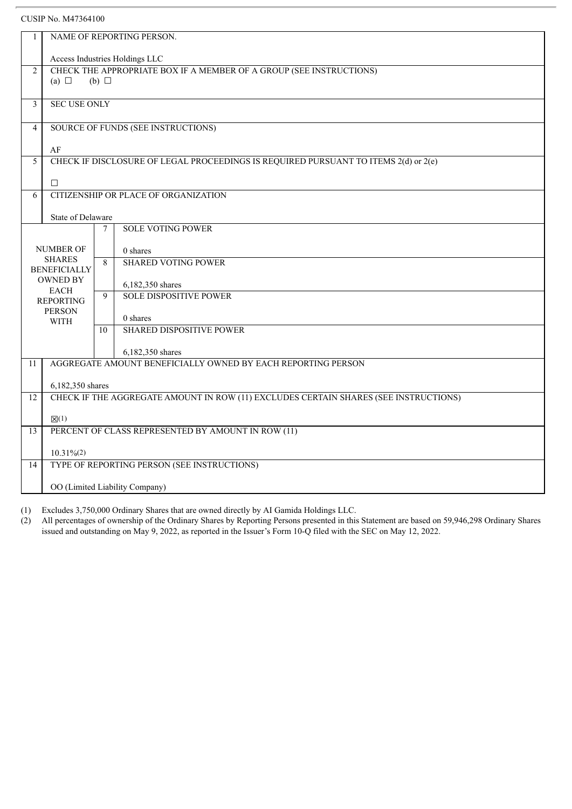| 1               | NAME OF REPORTING PERSON.                                                            |                 |                                                                                     |  |  |  |
|-----------------|--------------------------------------------------------------------------------------|-----------------|-------------------------------------------------------------------------------------|--|--|--|
|                 | Access Industries Holdings LLC                                                       |                 |                                                                                     |  |  |  |
| $\overline{2}$  | CHECK THE APPROPRIATE BOX IF A MEMBER OF A GROUP (SEE INSTRUCTIONS)                  |                 |                                                                                     |  |  |  |
|                 | (a) $\Box$                                                                           | $(b)$ $\square$ |                                                                                     |  |  |  |
| 3               | <b>SEC USE ONLY</b>                                                                  |                 |                                                                                     |  |  |  |
|                 |                                                                                      |                 |                                                                                     |  |  |  |
| $\overline{4}$  |                                                                                      |                 | SOURCE OF FUNDS (SEE INSTRUCTIONS)                                                  |  |  |  |
|                 | AF                                                                                   |                 |                                                                                     |  |  |  |
| 5               |                                                                                      |                 | CHECK IF DISCLOSURE OF LEGAL PROCEEDINGS IS REQUIRED PURSUANT TO ITEMS 2(d) or 2(e) |  |  |  |
|                 |                                                                                      |                 |                                                                                     |  |  |  |
|                 | $\Box$                                                                               |                 |                                                                                     |  |  |  |
| 6               |                                                                                      |                 | CITIZENSHIP OR PLACE OF ORGANIZATION                                                |  |  |  |
|                 | <b>State of Delaware</b>                                                             |                 |                                                                                     |  |  |  |
|                 |                                                                                      | $\overline{7}$  | <b>SOLE VOTING POWER</b>                                                            |  |  |  |
|                 |                                                                                      |                 |                                                                                     |  |  |  |
|                 | <b>NUMBER OF</b><br><b>SHARES</b>                                                    | 8               | 0 shares                                                                            |  |  |  |
|                 | <b>BENEFICIALLY</b>                                                                  |                 | <b>SHARED VOTING POWER</b>                                                          |  |  |  |
|                 | <b>OWNED BY</b>                                                                      |                 | 6,182,350 shares                                                                    |  |  |  |
|                 | <b>EACH</b><br><b>REPORTING</b>                                                      |                 | <b>SOLE DISPOSITIVE POWER</b>                                                       |  |  |  |
|                 | <b>PERSON</b>                                                                        |                 |                                                                                     |  |  |  |
|                 | <b>WITH</b>                                                                          |                 | 0 shares                                                                            |  |  |  |
|                 |                                                                                      | 10              | <b>SHARED DISPOSITIVE POWER</b>                                                     |  |  |  |
|                 |                                                                                      |                 | 6,182,350 shares                                                                    |  |  |  |
| 11              |                                                                                      |                 | AGGREGATE AMOUNT BENEFICIALLY OWNED BY EACH REPORTING PERSON                        |  |  |  |
|                 | 6,182,350 shares                                                                     |                 |                                                                                     |  |  |  |
| $\overline{12}$ | CHECK IF THE AGGREGATE AMOUNT IN ROW (11) EXCLUDES CERTAIN SHARES (SEE INSTRUCTIONS) |                 |                                                                                     |  |  |  |
|                 |                                                                                      |                 |                                                                                     |  |  |  |
|                 | $\mathbb{Z}(1)$                                                                      |                 |                                                                                     |  |  |  |
| 13              | PERCENT OF CLASS REPRESENTED BY AMOUNT IN ROW (11)                                   |                 |                                                                                     |  |  |  |
|                 | $10.31\%/2)$                                                                         |                 |                                                                                     |  |  |  |
| 14              |                                                                                      |                 | TYPE OF REPORTING PERSON (SEE INSTRUCTIONS)                                         |  |  |  |
|                 | OO (Limited Liability Company)                                                       |                 |                                                                                     |  |  |  |

(1) Excludes 3,750,000 Ordinary Shares that are owned directly by AI Gamida Holdings LLC.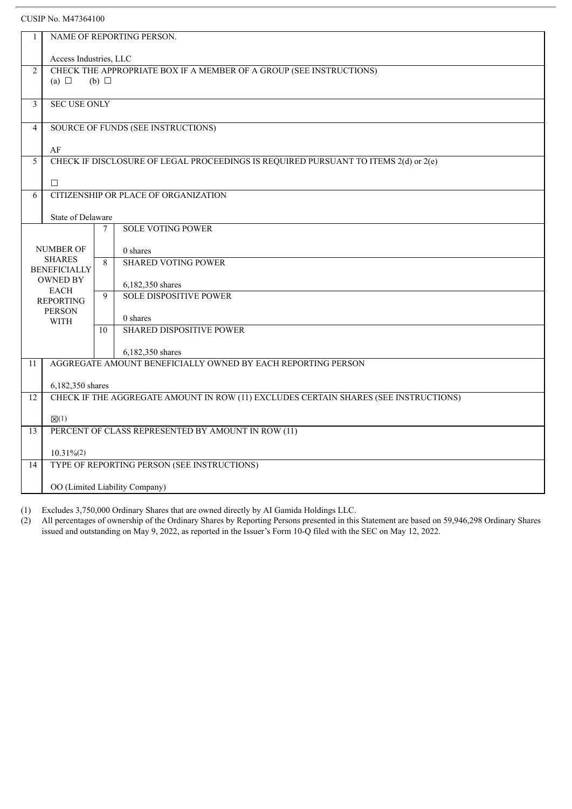| 1              | NAME OF REPORTING PERSON.                                           |                |                                                                                      |  |  |  |
|----------------|---------------------------------------------------------------------|----------------|--------------------------------------------------------------------------------------|--|--|--|
|                | Access Industries, LLC                                              |                |                                                                                      |  |  |  |
| $\overline{2}$ | CHECK THE APPROPRIATE BOX IF A MEMBER OF A GROUP (SEE INSTRUCTIONS) |                |                                                                                      |  |  |  |
|                | (a) $\Box$<br>$(b)$ $\square$                                       |                |                                                                                      |  |  |  |
|                |                                                                     |                |                                                                                      |  |  |  |
| 3              | <b>SEC USE ONLY</b>                                                 |                |                                                                                      |  |  |  |
| $\overline{4}$ |                                                                     |                | SOURCE OF FUNDS (SEE INSTRUCTIONS)                                                   |  |  |  |
|                |                                                                     |                |                                                                                      |  |  |  |
|                | $\rm AF$                                                            |                |                                                                                      |  |  |  |
| 5              |                                                                     |                | CHECK IF DISCLOSURE OF LEGAL PROCEEDINGS IS REQUIRED PURSUANT TO ITEMS 2(d) or 2(e)  |  |  |  |
|                |                                                                     |                |                                                                                      |  |  |  |
|                | $\Box$                                                              |                |                                                                                      |  |  |  |
| 6              |                                                                     |                | CITIZENSHIP OR PLACE OF ORGANIZATION                                                 |  |  |  |
|                |                                                                     |                |                                                                                      |  |  |  |
|                | <b>State of Delaware</b>                                            |                |                                                                                      |  |  |  |
|                |                                                                     | 7              | <b>SOLE VOTING POWER</b>                                                             |  |  |  |
|                |                                                                     |                |                                                                                      |  |  |  |
|                | <b>NUMBER OF</b>                                                    |                | 0 shares                                                                             |  |  |  |
|                | <b>SHARES</b>                                                       | 8 <sup>2</sup> | <b>SHARED VOTING POWER</b>                                                           |  |  |  |
|                | <b>BENEFICIALLY</b><br><b>OWNED BY</b>                              |                |                                                                                      |  |  |  |
|                | <b>EACH</b>                                                         |                | 6,182,350 shares                                                                     |  |  |  |
|                | <b>REPORTING</b>                                                    |                | <b>SOLE DISPOSITIVE POWER</b>                                                        |  |  |  |
|                | <b>PERSON</b>                                                       |                |                                                                                      |  |  |  |
|                | <b>WITH</b>                                                         |                | 0 shares                                                                             |  |  |  |
|                |                                                                     | 10             | <b>SHARED DISPOSITIVE POWER</b>                                                      |  |  |  |
|                |                                                                     |                | 6,182,350 shares                                                                     |  |  |  |
| 11             |                                                                     |                | AGGREGATE AMOUNT BENEFICIALLY OWNED BY EACH REPORTING PERSON                         |  |  |  |
|                |                                                                     |                |                                                                                      |  |  |  |
|                | 6,182,350 shares                                                    |                |                                                                                      |  |  |  |
| 12             |                                                                     |                | CHECK IF THE AGGREGATE AMOUNT IN ROW (11) EXCLUDES CERTAIN SHARES (SEE INSTRUCTIONS) |  |  |  |
|                |                                                                     |                |                                                                                      |  |  |  |
|                | $\boxtimes(1)$                                                      |                |                                                                                      |  |  |  |
| 13             | PERCENT OF CLASS REPRESENTED BY AMOUNT IN ROW (11)                  |                |                                                                                      |  |  |  |
|                |                                                                     |                |                                                                                      |  |  |  |
| 14             | $10.31\%/2)$                                                        |                | TYPE OF REPORTING PERSON (SEE INSTRUCTIONS)                                          |  |  |  |
|                |                                                                     |                |                                                                                      |  |  |  |
|                | OO (Limited Liability Company)                                      |                |                                                                                      |  |  |  |
|                |                                                                     |                |                                                                                      |  |  |  |

(1) Excludes 3,750,000 Ordinary Shares that are owned directly by AI Gamida Holdings LLC.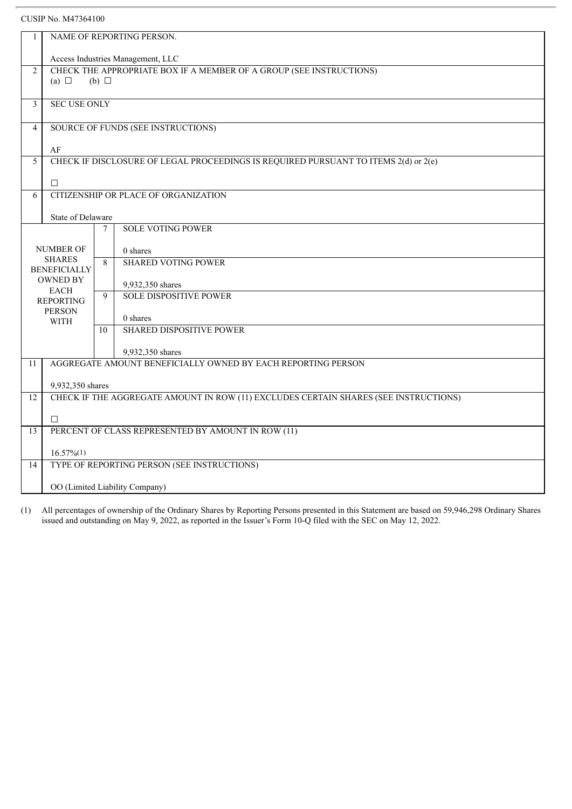| $\mathbf{1}$                      | NAME OF REPORTING PERSON.                          |                 |                                                                                      |  |  |  |
|-----------------------------------|----------------------------------------------------|-----------------|--------------------------------------------------------------------------------------|--|--|--|
|                                   | Access Industries Management, LLC                  |                 |                                                                                      |  |  |  |
| $\overline{2}$                    |                                                    |                 | CHECK THE APPROPRIATE BOX IF A MEMBER OF A GROUP (SEE INSTRUCTIONS)                  |  |  |  |
|                                   | (a) $\Box$                                         | $(b)$ $\square$ |                                                                                      |  |  |  |
|                                   |                                                    |                 |                                                                                      |  |  |  |
| 3                                 | <b>SEC USE ONLY</b>                                |                 |                                                                                      |  |  |  |
| $\overline{4}$                    |                                                    |                 | SOURCE OF FUNDS (SEE INSTRUCTIONS)                                                   |  |  |  |
|                                   |                                                    |                 |                                                                                      |  |  |  |
| 5                                 | AF                                                 |                 | CHECK IF DISCLOSURE OF LEGAL PROCEEDINGS IS REQUIRED PURSUANT TO ITEMS 2(d) or 2(e)  |  |  |  |
|                                   |                                                    |                 |                                                                                      |  |  |  |
|                                   | $\Box$                                             |                 |                                                                                      |  |  |  |
| 6                                 |                                                    |                 | CITIZENSHIP OR PLACE OF ORGANIZATION                                                 |  |  |  |
|                                   |                                                    |                 |                                                                                      |  |  |  |
|                                   | State of Delaware                                  |                 |                                                                                      |  |  |  |
|                                   |                                                    | $\tau$          | <b>SOLE VOTING POWER</b>                                                             |  |  |  |
|                                   | <b>NUMBER OF</b>                                   |                 |                                                                                      |  |  |  |
|                                   | <b>SHARES</b>                                      | 8               | 0 shares<br><b>SHARED VOTING POWER</b>                                               |  |  |  |
|                                   | <b>BENEFICIALLY</b>                                |                 |                                                                                      |  |  |  |
|                                   | <b>OWNED BY</b>                                    |                 | 9,932,350 shares                                                                     |  |  |  |
|                                   | <b>EACH</b>                                        |                 | <b>SOLE DISPOSITIVE POWER</b>                                                        |  |  |  |
| <b>REPORTING</b><br><b>PERSON</b> |                                                    |                 |                                                                                      |  |  |  |
|                                   | <b>WITH</b>                                        |                 | 0 shares                                                                             |  |  |  |
|                                   |                                                    |                 | <b>SHARED DISPOSITIVE POWER</b>                                                      |  |  |  |
|                                   |                                                    |                 | 9,932,350 shares                                                                     |  |  |  |
| 11                                |                                                    |                 | AGGREGATE AMOUNT BENEFICIALLY OWNED BY EACH REPORTING PERSON                         |  |  |  |
|                                   |                                                    |                 |                                                                                      |  |  |  |
|                                   | 9,932,350 shares                                   |                 |                                                                                      |  |  |  |
| 12                                |                                                    |                 | CHECK IF THE AGGREGATE AMOUNT IN ROW (11) EXCLUDES CERTAIN SHARES (SEE INSTRUCTIONS) |  |  |  |
|                                   |                                                    |                 |                                                                                      |  |  |  |
|                                   | $\Box$                                             |                 |                                                                                      |  |  |  |
| 13                                | PERCENT OF CLASS REPRESENTED BY AMOUNT IN ROW (11) |                 |                                                                                      |  |  |  |
|                                   | $16.57\%$ <sup>(1)</sup>                           |                 |                                                                                      |  |  |  |
| 14                                |                                                    |                 | TYPE OF REPORTING PERSON (SEE INSTRUCTIONS)                                          |  |  |  |
|                                   |                                                    |                 |                                                                                      |  |  |  |
|                                   | OO (Limited Liability Company)                     |                 |                                                                                      |  |  |  |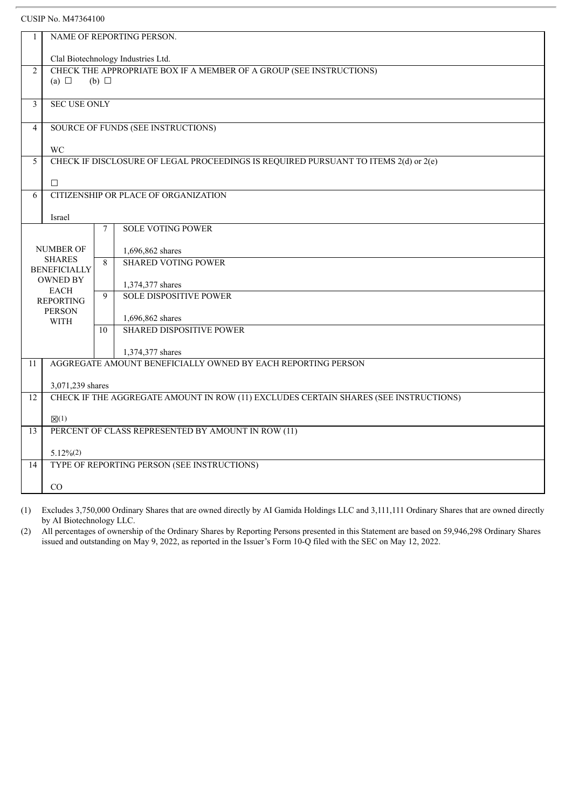| 1                   | NAME OF REPORTING PERSON.                                           |                 |                                                                                      |  |  |  |
|---------------------|---------------------------------------------------------------------|-----------------|--------------------------------------------------------------------------------------|--|--|--|
|                     |                                                                     |                 |                                                                                      |  |  |  |
|                     | Clal Biotechnology Industries Ltd.                                  |                 |                                                                                      |  |  |  |
| $\overline{2}$      | CHECK THE APPROPRIATE BOX IF A MEMBER OF A GROUP (SEE INSTRUCTIONS) |                 |                                                                                      |  |  |  |
|                     | (a) $\Box$                                                          | $(b)$ $\square$ |                                                                                      |  |  |  |
| 3                   | <b>SEC USE ONLY</b>                                                 |                 |                                                                                      |  |  |  |
|                     |                                                                     |                 |                                                                                      |  |  |  |
| $\overline{4}$      |                                                                     |                 | SOURCE OF FUNDS (SEE INSTRUCTIONS)                                                   |  |  |  |
|                     |                                                                     |                 |                                                                                      |  |  |  |
|                     | WC                                                                  |                 |                                                                                      |  |  |  |
| 5                   |                                                                     |                 | CHECK IF DISCLOSURE OF LEGAL PROCEEDINGS IS REQUIRED PURSUANT TO ITEMS 2(d) or 2(e)  |  |  |  |
|                     |                                                                     |                 |                                                                                      |  |  |  |
|                     | $\Box$                                                              |                 |                                                                                      |  |  |  |
| 6                   |                                                                     |                 | CITIZENSHIP OR PLACE OF ORGANIZATION                                                 |  |  |  |
|                     |                                                                     |                 |                                                                                      |  |  |  |
|                     | Israel                                                              |                 |                                                                                      |  |  |  |
|                     |                                                                     | $\tau$          | <b>SOLE VOTING POWER</b>                                                             |  |  |  |
|                     | NUMBER OF                                                           |                 | 1,696,862 shares                                                                     |  |  |  |
|                     | <b>SHARES</b>                                                       | 8               | <b>SHARED VOTING POWER</b>                                                           |  |  |  |
| <b>BENEFICIALLY</b> |                                                                     |                 |                                                                                      |  |  |  |
| <b>OWNED BY</b>     |                                                                     |                 | 1,374,377 shares                                                                     |  |  |  |
|                     | <b>EACH</b><br><b>REPORTING</b>                                     | $\mathbf{Q}$    | <b>SOLE DISPOSITIVE POWER</b>                                                        |  |  |  |
|                     | <b>PERSON</b>                                                       |                 |                                                                                      |  |  |  |
|                     | <b>WITH</b>                                                         |                 | 1,696,862 shares                                                                     |  |  |  |
|                     |                                                                     | 10              | <b>SHARED DISPOSITIVE POWER</b>                                                      |  |  |  |
|                     |                                                                     |                 |                                                                                      |  |  |  |
| 11                  |                                                                     |                 | 1,374,377 shares<br>AGGREGATE AMOUNT BENEFICIALLY OWNED BY EACH REPORTING PERSON     |  |  |  |
|                     |                                                                     |                 |                                                                                      |  |  |  |
|                     | 3,071,239 shares                                                    |                 |                                                                                      |  |  |  |
| 12                  |                                                                     |                 | CHECK IF THE AGGREGATE AMOUNT IN ROW (11) EXCLUDES CERTAIN SHARES (SEE INSTRUCTIONS) |  |  |  |
|                     |                                                                     |                 |                                                                                      |  |  |  |
|                     | $\boxtimes(1)$                                                      |                 |                                                                                      |  |  |  |
| $\overline{13}$     | PERCENT OF CLASS REPRESENTED BY AMOUNT IN ROW (11)                  |                 |                                                                                      |  |  |  |
|                     |                                                                     |                 |                                                                                      |  |  |  |
|                     | $5.12\%(2)$                                                         |                 |                                                                                      |  |  |  |
| 14                  |                                                                     |                 | TYPE OF REPORTING PERSON (SEE INSTRUCTIONS)                                          |  |  |  |
|                     | CO                                                                  |                 |                                                                                      |  |  |  |
|                     |                                                                     |                 |                                                                                      |  |  |  |

(1) Excludes 3,750,000 Ordinary Shares that are owned directly by AI Gamida Holdings LLC and 3,111,111 Ordinary Shares that are owned directly by AI Biotechnology LLC.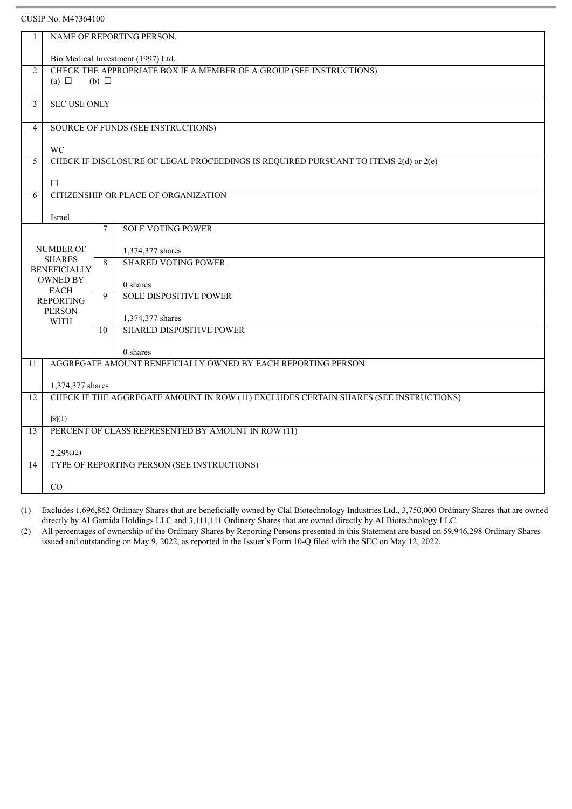| 1                                      | NAME OF REPORTING PERSON.                                                            |              |                                                                                     |  |  |  |
|----------------------------------------|--------------------------------------------------------------------------------------|--------------|-------------------------------------------------------------------------------------|--|--|--|
|                                        |                                                                                      |              |                                                                                     |  |  |  |
|                                        | Bio Medical Investment (1997) Ltd.                                                   |              |                                                                                     |  |  |  |
| $\overline{2}$                         | CHECK THE APPROPRIATE BOX IF A MEMBER OF A GROUP (SEE INSTRUCTIONS)                  |              |                                                                                     |  |  |  |
|                                        | (a) $\Box$                                                                           | $(b)$ $\Box$ |                                                                                     |  |  |  |
|                                        |                                                                                      |              |                                                                                     |  |  |  |
| 3                                      | <b>SEC USE ONLY</b>                                                                  |              |                                                                                     |  |  |  |
|                                        |                                                                                      |              |                                                                                     |  |  |  |
| $\overline{4}$                         |                                                                                      |              | SOURCE OF FUNDS (SEE INSTRUCTIONS)                                                  |  |  |  |
|                                        | WC                                                                                   |              |                                                                                     |  |  |  |
| 5                                      |                                                                                      |              | CHECK IF DISCLOSURE OF LEGAL PROCEEDINGS IS REQUIRED PURSUANT TO ITEMS 2(d) or 2(e) |  |  |  |
|                                        |                                                                                      |              |                                                                                     |  |  |  |
|                                        | $\Box$                                                                               |              |                                                                                     |  |  |  |
| 6                                      |                                                                                      |              | CITIZENSHIP OR PLACE OF ORGANIZATION                                                |  |  |  |
|                                        |                                                                                      |              |                                                                                     |  |  |  |
|                                        | Israel                                                                               |              |                                                                                     |  |  |  |
|                                        |                                                                                      | $\tau$       | <b>SOLE VOTING POWER</b>                                                            |  |  |  |
|                                        |                                                                                      |              |                                                                                     |  |  |  |
|                                        | NUMBER OF                                                                            |              | 1,374,377 shares                                                                    |  |  |  |
| <b>SHARES</b>                          |                                                                                      | 8            | <b>SHARED VOTING POWER</b>                                                          |  |  |  |
| <b>BENEFICIALLY</b><br><b>OWNED BY</b> |                                                                                      |              |                                                                                     |  |  |  |
| <b>EACH</b>                            |                                                                                      |              | 0 shares                                                                            |  |  |  |
|                                        | <b>REPORTING</b>                                                                     | $\mathbf{Q}$ | <b>SOLE DISPOSITIVE POWER</b>                                                       |  |  |  |
|                                        | <b>PERSON</b>                                                                        |              |                                                                                     |  |  |  |
|                                        | <b>WITH</b>                                                                          | 10           | 1,374,377 shares<br><b>SHARED DISPOSITIVE POWER</b>                                 |  |  |  |
|                                        |                                                                                      |              |                                                                                     |  |  |  |
|                                        |                                                                                      |              | 0 shares                                                                            |  |  |  |
| 11                                     |                                                                                      |              | AGGREGATE AMOUNT BENEFICIALLY OWNED BY EACH REPORTING PERSON                        |  |  |  |
|                                        |                                                                                      |              |                                                                                     |  |  |  |
|                                        | 1,374,377 shares                                                                     |              |                                                                                     |  |  |  |
| 12                                     | CHECK IF THE AGGREGATE AMOUNT IN ROW (11) EXCLUDES CERTAIN SHARES (SEE INSTRUCTIONS) |              |                                                                                     |  |  |  |
|                                        |                                                                                      |              |                                                                                     |  |  |  |
|                                        | $\boxtimes(1)$                                                                       |              |                                                                                     |  |  |  |
| $\overline{13}$                        | PERCENT OF CLASS REPRESENTED BY AMOUNT IN ROW (11)                                   |              |                                                                                     |  |  |  |
|                                        |                                                                                      |              |                                                                                     |  |  |  |
| 14                                     | $2.29\%(2)$                                                                          |              | TYPE OF REPORTING PERSON (SEE INSTRUCTIONS)                                         |  |  |  |
|                                        |                                                                                      |              |                                                                                     |  |  |  |
|                                        | CO                                                                                   |              |                                                                                     |  |  |  |
|                                        |                                                                                      |              |                                                                                     |  |  |  |

(1) Excludes 1,696,862 Ordinary Shares that are beneficially owned by Clal Biotechnology Industries Ltd., 3,750,000 Ordinary Shares that are owned directly by AI Gamida Holdings LLC and 3,111,111 Ordinary Shares that are owned directly by AI Biotechnology LLC.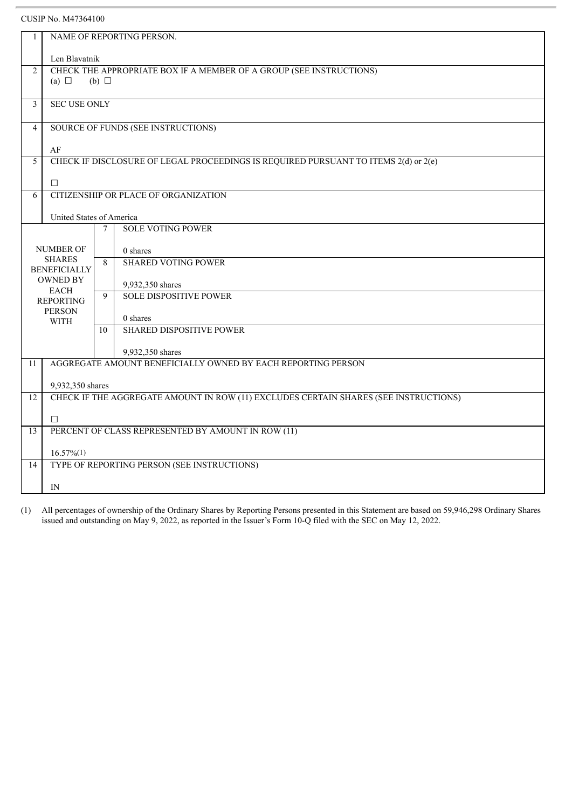| 1              | NAME OF REPORTING PERSON.                                           |             |                                                                                      |  |  |  |
|----------------|---------------------------------------------------------------------|-------------|--------------------------------------------------------------------------------------|--|--|--|
|                |                                                                     |             |                                                                                      |  |  |  |
|                | Len Blavatnik                                                       |             |                                                                                      |  |  |  |
| 2              | CHECK THE APPROPRIATE BOX IF A MEMBER OF A GROUP (SEE INSTRUCTIONS) |             |                                                                                      |  |  |  |
|                | (a) $\Box$<br>(b) $\Box$                                            |             |                                                                                      |  |  |  |
| 3              | <b>SEC USE ONLY</b>                                                 |             |                                                                                      |  |  |  |
|                |                                                                     |             |                                                                                      |  |  |  |
| $\overline{4}$ |                                                                     |             | SOURCE OF FUNDS (SEE INSTRUCTIONS)                                                   |  |  |  |
|                |                                                                     |             |                                                                                      |  |  |  |
|                | AF                                                                  |             |                                                                                      |  |  |  |
| 5              |                                                                     |             | CHECK IF DISCLOSURE OF LEGAL PROCEEDINGS IS REQUIRED PURSUANT TO ITEMS 2(d) or 2(e)  |  |  |  |
|                |                                                                     |             |                                                                                      |  |  |  |
|                | $\Box$                                                              |             |                                                                                      |  |  |  |
| 6              |                                                                     |             | CITIZENSHIP OR PLACE OF ORGANIZATION                                                 |  |  |  |
|                | United States of America                                            |             |                                                                                      |  |  |  |
|                |                                                                     | $\tau$      | <b>SOLE VOTING POWER</b>                                                             |  |  |  |
|                |                                                                     |             |                                                                                      |  |  |  |
|                | <b>NUMBER OF</b>                                                    |             | 0 shares                                                                             |  |  |  |
|                | <b>SHARES</b>                                                       | 8           | <b>SHARED VOTING POWER</b>                                                           |  |  |  |
|                | <b>BENEFICIALLY</b><br><b>OWNED BY</b>                              |             |                                                                                      |  |  |  |
|                |                                                                     |             | 9,932,350 shares                                                                     |  |  |  |
|                | <b>EACH</b><br><b>REPORTING</b>                                     | $\mathbf Q$ | <b>SOLE DISPOSITIVE POWER</b>                                                        |  |  |  |
|                | <b>PERSON</b><br><b>WITH</b>                                        |             |                                                                                      |  |  |  |
|                |                                                                     |             | 0 shares                                                                             |  |  |  |
|                |                                                                     | 10          | <b>SHARED DISPOSITIVE POWER</b>                                                      |  |  |  |
|                |                                                                     |             | 9,932,350 shares                                                                     |  |  |  |
| 11             |                                                                     |             | AGGREGATE AMOUNT BENEFICIALLY OWNED BY EACH REPORTING PERSON                         |  |  |  |
|                |                                                                     |             |                                                                                      |  |  |  |
|                | 9,932,350 shares                                                    |             |                                                                                      |  |  |  |
| 12             |                                                                     |             | CHECK IF THE AGGREGATE AMOUNT IN ROW (11) EXCLUDES CERTAIN SHARES (SEE INSTRUCTIONS) |  |  |  |
|                |                                                                     |             |                                                                                      |  |  |  |
|                | $\Box$                                                              |             |                                                                                      |  |  |  |
| 13             | PERCENT OF CLASS REPRESENTED BY AMOUNT IN ROW (11)                  |             |                                                                                      |  |  |  |
|                |                                                                     |             |                                                                                      |  |  |  |
|                | $16.57\%(1)$                                                        |             |                                                                                      |  |  |  |
| 14             | TYPE OF REPORTING PERSON (SEE INSTRUCTIONS)                         |             |                                                                                      |  |  |  |
|                | IN                                                                  |             |                                                                                      |  |  |  |
|                |                                                                     |             |                                                                                      |  |  |  |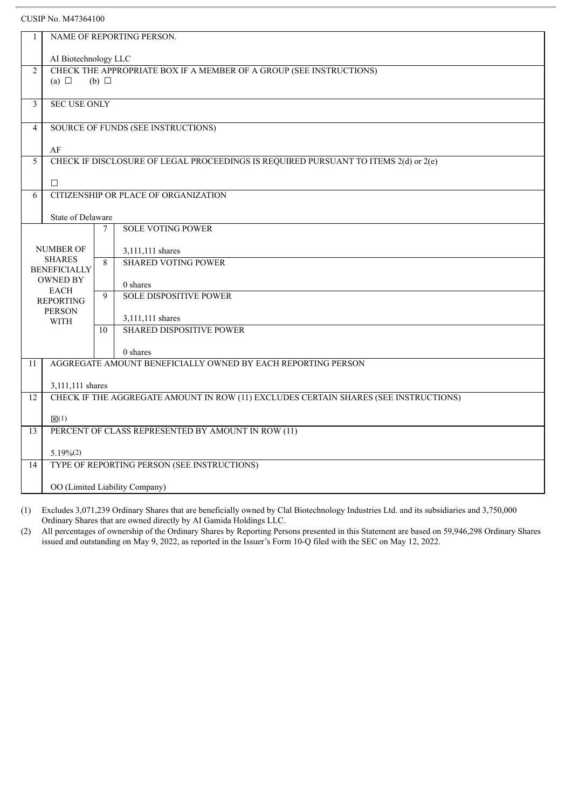| 1              | NAME OF REPORTING PERSON.                                           |                 |                                                                                      |  |  |  |
|----------------|---------------------------------------------------------------------|-----------------|--------------------------------------------------------------------------------------|--|--|--|
|                | AI Biotechnology LLC                                                |                 |                                                                                      |  |  |  |
| 2              | CHECK THE APPROPRIATE BOX IF A MEMBER OF A GROUP (SEE INSTRUCTIONS) |                 |                                                                                      |  |  |  |
|                | (a) $\Box$                                                          | $(b)$ $\square$ |                                                                                      |  |  |  |
|                |                                                                     |                 |                                                                                      |  |  |  |
| $\overline{3}$ | <b>SEC USE ONLY</b>                                                 |                 |                                                                                      |  |  |  |
| $\overline{4}$ |                                                                     |                 | SOURCE OF FUNDS (SEE INSTRUCTIONS)                                                   |  |  |  |
|                |                                                                     |                 |                                                                                      |  |  |  |
|                | AF                                                                  |                 |                                                                                      |  |  |  |
| $\overline{5}$ |                                                                     |                 | CHECK IF DISCLOSURE OF LEGAL PROCEEDINGS IS REQUIRED PURSUANT TO ITEMS 2(d) or 2(e)  |  |  |  |
|                |                                                                     |                 |                                                                                      |  |  |  |
|                | $\Box$                                                              |                 |                                                                                      |  |  |  |
| 6              |                                                                     |                 | CITIZENSHIP OR PLACE OF ORGANIZATION                                                 |  |  |  |
|                | State of Delaware                                                   |                 |                                                                                      |  |  |  |
|                |                                                                     | 7               | <b>SOLE VOTING POWER</b>                                                             |  |  |  |
|                |                                                                     |                 |                                                                                      |  |  |  |
|                | <b>NUMBER OF</b>                                                    |                 | 3,111,111 shares                                                                     |  |  |  |
|                | <b>SHARES</b>                                                       | 8               | <b>SHARED VOTING POWER</b>                                                           |  |  |  |
|                | <b>BENEFICIALLY</b>                                                 |                 |                                                                                      |  |  |  |
|                | <b>OWNED BY</b><br><b>EACH</b>                                      |                 | 0 shares                                                                             |  |  |  |
|                | <b>REPORTING</b>                                                    | 9               | <b>SOLE DISPOSITIVE POWER</b>                                                        |  |  |  |
|                | <b>PERSON</b>                                                       |                 |                                                                                      |  |  |  |
|                | <b>WITH</b>                                                         |                 | 3,111,111 shares<br><b>SHARED DISPOSITIVE POWER</b>                                  |  |  |  |
|                |                                                                     | 10              |                                                                                      |  |  |  |
|                |                                                                     |                 | 0 shares                                                                             |  |  |  |
| 11             |                                                                     |                 | AGGREGATE AMOUNT BENEFICIALLY OWNED BY EACH REPORTING PERSON                         |  |  |  |
|                |                                                                     |                 |                                                                                      |  |  |  |
|                | 3,111,111 shares                                                    |                 |                                                                                      |  |  |  |
| 12             |                                                                     |                 | CHECK IF THE AGGREGATE AMOUNT IN ROW (11) EXCLUDES CERTAIN SHARES (SEE INSTRUCTIONS) |  |  |  |
|                | $\boxtimes(1)$                                                      |                 |                                                                                      |  |  |  |
| 13             | PERCENT OF CLASS REPRESENTED BY AMOUNT IN ROW (11)                  |                 |                                                                                      |  |  |  |
|                |                                                                     |                 |                                                                                      |  |  |  |
|                | $5.19%$ (2)                                                         |                 |                                                                                      |  |  |  |
| 14             |                                                                     |                 | TYPE OF REPORTING PERSON (SEE INSTRUCTIONS)                                          |  |  |  |
|                | OO (Limited Liability Company)                                      |                 |                                                                                      |  |  |  |
|                |                                                                     |                 |                                                                                      |  |  |  |

(1) Excludes 3,071,239 Ordinary Shares that are beneficially owned by Clal Biotechnology Industries Ltd. and its subsidiaries and 3,750,000 Ordinary Shares that are owned directly by AI Gamida Holdings LLC.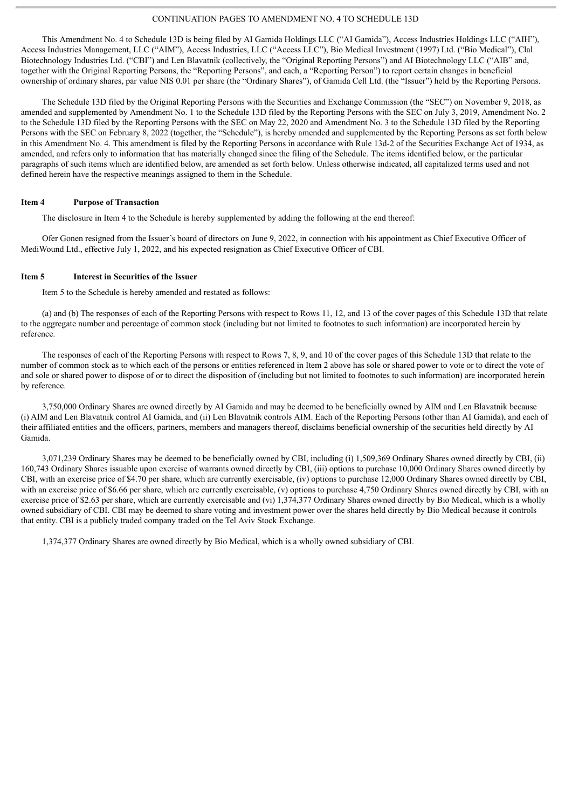#### CONTINUATION PAGES TO AMENDMENT NO. 4 TO SCHEDULE 13D

This Amendment No. 4 to Schedule 13D is being filed by AI Gamida Holdings LLC ("AI Gamida"), Access Industries Holdings LLC ("AIH"), Access Industries Management, LLC ("AIM"), Access Industries, LLC ("Access LLC"), Bio Medical Investment (1997) Ltd. ("Bio Medical"), Clal Biotechnology Industries Ltd. ("CBI") and Len Blavatnik (collectively, the "Original Reporting Persons") and AI Biotechnology LLC ("AIB" and, together with the Original Reporting Persons, the "Reporting Persons", and each, a "Reporting Person") to report certain changes in beneficial ownership of ordinary shares, par value NIS 0.01 per share (the "Ordinary Shares"), of Gamida Cell Ltd. (the "Issuer") held by the Reporting Persons.

The Schedule 13D filed by the Original Reporting Persons with the Securities and Exchange Commission (the "SEC") on November 9, 2018, as amended and supplemented by Amendment No. 1 to the Schedule 13D filed by the Reporting Persons with the SEC on July 3, 2019, Amendment No. 2 to the Schedule 13D filed by the Reporting Persons with the SEC on May 22, 2020 and Amendment No. 3 to the Schedule 13D filed by the Reporting Persons with the SEC on February 8, 2022 (together, the "Schedule"), is hereby amended and supplemented by the Reporting Persons as set forth below in this Amendment No. 4. This amendment is filed by the Reporting Persons in accordance with Rule 13d-2 of the Securities Exchange Act of 1934, as amended, and refers only to information that has materially changed since the filing of the Schedule. The items identified below, or the particular paragraphs of such items which are identified below, are amended as set forth below. Unless otherwise indicated, all capitalized terms used and not defined herein have the respective meanings assigned to them in the Schedule.

#### **Item 4 Purpose of Transaction**

The disclosure in Item 4 to the Schedule is hereby supplemented by adding the following at the end thereof:

Ofer Gonen resigned from the Issuer's board of directors on June 9, 2022, in connection with his appointment as Chief Executive Officer of MediWound Ltd., effective July 1, 2022, and his expected resignation as Chief Executive Officer of CBI.

#### **Item 5 Interest in Securities of the Issuer**

Item 5 to the Schedule is hereby amended and restated as follows:

(a) and (b) The responses of each of the Reporting Persons with respect to Rows 11, 12, and 13 of the cover pages of this Schedule 13D that relate to the aggregate number and percentage of common stock (including but not limited to footnotes to such information) are incorporated herein by reference.

The responses of each of the Reporting Persons with respect to Rows 7, 8, 9, and 10 of the cover pages of this Schedule 13D that relate to the number of common stock as to which each of the persons or entities referenced in Item 2 above has sole or shared power to vote or to direct the vote of and sole or shared power to dispose of or to direct the disposition of (including but not limited to footnotes to such information) are incorporated herein by reference.

3,750,000 Ordinary Shares are owned directly by AI Gamida and may be deemed to be beneficially owned by AIM and Len Blavatnik because (i) AIM and Len Blavatnik control AI Gamida, and (ii) Len Blavatnik controls AIM. Each of the Reporting Persons (other than AI Gamida), and each of their affiliated entities and the officers, partners, members and managers thereof, disclaims beneficial ownership of the securities held directly by AI Gamida.

3,071,239 Ordinary Shares may be deemed to be beneficially owned by CBI, including (i) 1,509,369 Ordinary Shares owned directly by CBI, (ii) 160,743 Ordinary Shares issuable upon exercise of warrants owned directly by CBI, (iii) options to purchase 10,000 Ordinary Shares owned directly by CBI, with an exercise price of \$4.70 per share, which are currently exercisable, (iv) options to purchase 12,000 Ordinary Shares owned directly by CBI, with an exercise price of \$6.66 per share, which are currently exercisable, (v) options to purchase 4,750 Ordinary Shares owned directly by CBI, with an exercise price of \$2.63 per share, which are currently exercisable and (vi) 1,374,377 Ordinary Shares owned directly by Bio Medical, which is a wholly owned subsidiary of CBI. CBI may be deemed to share voting and investment power over the shares held directly by Bio Medical because it controls that entity. CBI is a publicly traded company traded on the Tel Aviv Stock Exchange.

1,374,377 Ordinary Shares are owned directly by Bio Medical, which is a wholly owned subsidiary of CBI.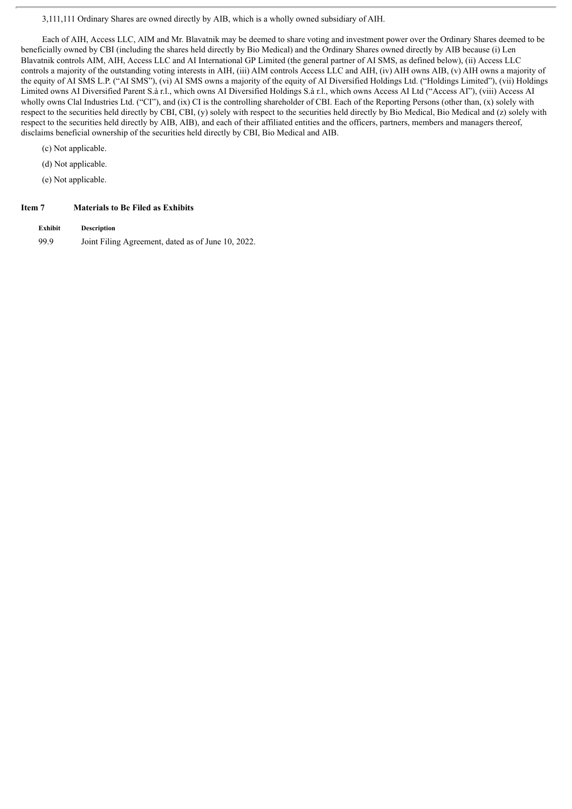3,111,111 Ordinary Shares are owned directly by AIB, which is a wholly owned subsidiary of AIH.

Each of AIH, Access LLC, AIM and Mr. Blavatnik may be deemed to share voting and investment power over the Ordinary Shares deemed to be beneficially owned by CBI (including the shares held directly by Bio Medical) and the Ordinary Shares owned directly by AIB because (i) Len Blavatnik controls AIM, AIH, Access LLC and AI International GP Limited (the general partner of AI SMS, as defined below), (ii) Access LLC controls a majority of the outstanding voting interests in AIH, (iii) AIM controls Access LLC and AIH, (iv) AIH owns AIB, (v) AIH owns a majority of the equity of AI SMS L.P. ("AI SMS"), (vi) AI SMS owns a majority of the equity of AI Diversified Holdings Ltd. ("Holdings Limited"), (vii) Holdings Limited owns AI Diversified Parent S.à r.l., which owns AI Diversified Holdings S.à r.l., which owns Access AI Ltd ("Access AI"), (viii) Access AI wholly owns Clal Industries Ltd. ("CI"), and (ix) CI is the controlling shareholder of CBI. Each of the Reporting Persons (other than, (x) solely with respect to the securities held directly by CBI, CBI, (y) solely with respect to the securities held directly by Bio Medical, Bio Medical and (z) solely with respect to the securities held directly by AIB, AIB), and each of their affiliated entities and the officers, partners, members and managers thereof, disclaims beneficial ownership of the securities held directly by CBI, Bio Medical and AIB.

(c) Not applicable.

(d) Not applicable.

(e) Not applicable.

#### **Item 7 Materials to Be Filed as Exhibits**

**Exhibit Description** 99.9 Joint Filing Agreement, dated as of June 10, 2022.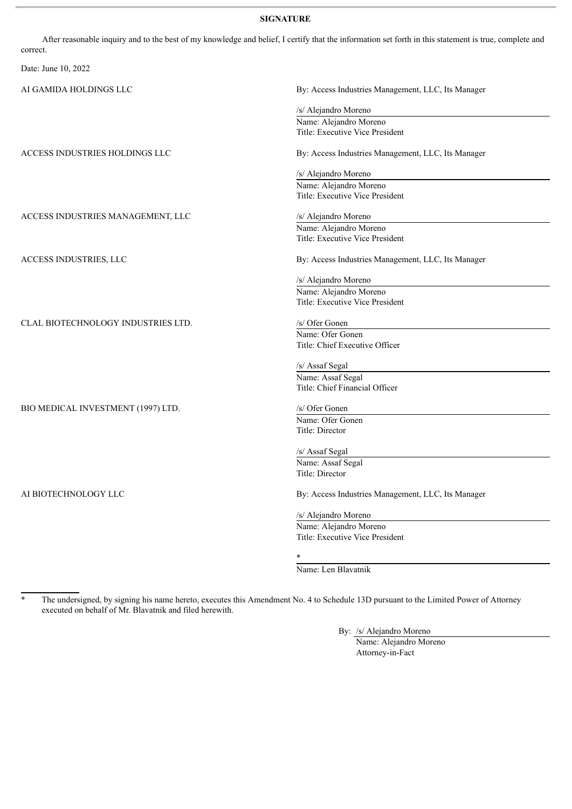#### **SIGNATURE**

After reasonable inquiry and to the best of my knowledge and belief, I certify that the information set forth in this statement is true, complete and correct. Date: June 10, 2022 AI GAMIDA HOLDINGS LLC By: Access Industries Management, LLC, Its Manager /s/ Alejandro Moreno Name: Alejandro Moreno Title: Executive Vice President ACCESS INDUSTRIES HOLDINGS LLC By: Access Industries Management, LLC, Its Manager /s/ Alejandro Moreno Name: Alejandro Moreno Title: Executive Vice President ACCESS INDUSTRIES MANAGEMENT, LLC /s/ Alejandro Moreno Name: Alejandro Moreno Title: Executive Vice President ACCESS INDUSTRIES, LLC By: Access Industries Management, LLC, Its Manager /s/ Alejandro Moreno Name: Alejandro Moreno Title: Executive Vice President CLAL BIOTECHNOLOGY INDUSTRIES LTD. /s/ Ofer Gonen Name: Ofer Gonen Title: Chief Executive Officer /s/ Assaf Segal Name: Assaf Segal Title: Chief Financial Officer BIO MEDICAL INVESTMENT (1997) LTD. /s/ Ofer Gonen Name: Ofer Gonen Title: Director /s/ Assaf Segal Name: Assaf Segal Title: Director AI BIOTECHNOLOGY LLC By: Access Industries Management, LLC, Its Manager /s/ Alejandro Moreno Name: Alejandro Moreno Title: Executive Vice President \*

Name: Len Blavatnik

The undersigned, by signing his name hereto, executes this Amendment No. 4 to Schedule 13D pursuant to the Limited Power of Attorney executed on behalf of Mr. Blavatnik and filed herewith.

By: /s/ Alejandro Moreno

Name: Alejandro Moreno Attorney-in-Fact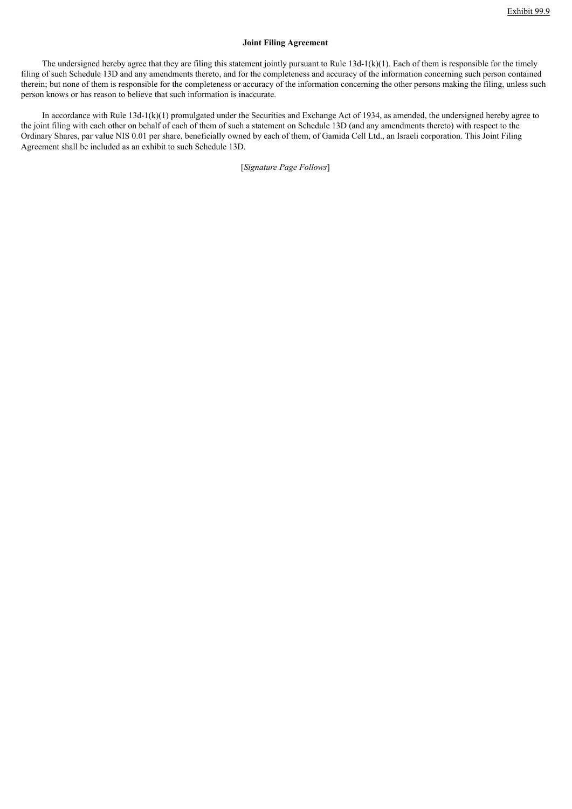#### **Joint Filing Agreement**

The undersigned hereby agree that they are filing this statement jointly pursuant to Rule  $13d-1(k)(1)$ . Each of them is responsible for the timely filing of such Schedule 13D and any amendments thereto, and for the completeness and accuracy of the information concerning such person contained therein; but none of them is responsible for the completeness or accuracy of the information concerning the other persons making the filing, unless such person knows or has reason to believe that such information is inaccurate.

In accordance with Rule 13d-1(k)(1) promulgated under the Securities and Exchange Act of 1934, as amended, the undersigned hereby agree to the joint filing with each other on behalf of each of them of such a statement on Schedule 13D (and any amendments thereto) with respect to the Ordinary Shares, par value NIS 0.01 per share, beneficially owned by each of them, of Gamida Cell Ltd., an Israeli corporation. This Joint Filing Agreement shall be included as an exhibit to such Schedule 13D.

[*Signature Page Follows*]